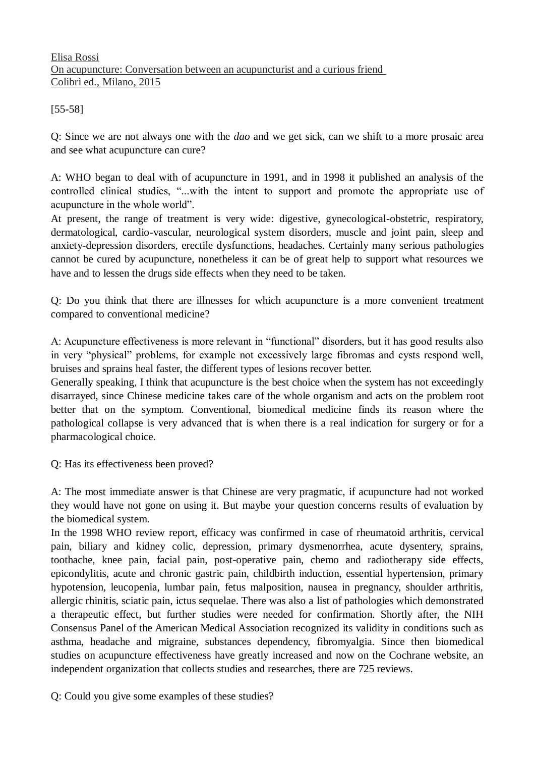## Elisa Rossi On acupuncture: Conversation between an acupuncturist and a curious friend Colibrì ed., Milano, 2015

[55-58]

Q: Since we are not always one with the *dao* and we get sick, can we shift to a more prosaic area and see what acupuncture can cure?

A: WHO began to deal with of acupuncture in 1991, and in 1998 it published an analysis of the controlled clinical studies, "...with the intent to support and promote the appropriate use of acupuncture in the whole world".

At present, the range of treatment is very wide: digestive, gynecological-obstetric, respiratory, dermatological, cardio-vascular, neurological system disorders, muscle and joint pain, sleep and anxiety-depression disorders, erectile dysfunctions, headaches. Certainly many serious pathologies cannot be cured by acupuncture, nonetheless it can be of great help to support what resources we have and to lessen the drugs side effects when they need to be taken.

Q: Do you think that there are illnesses for which acupuncture is a more convenient treatment compared to conventional medicine?

A: Acupuncture effectiveness is more relevant in "functional" disorders, but it has good results also in very "physical" problems, for example not excessively large fibromas and cysts respond well, bruises and sprains heal faster, the different types of lesions recover better.

Generally speaking, I think that acupuncture is the best choice when the system has not exceedingly disarrayed, since Chinese medicine takes care of the whole organism and acts on the problem root better that on the symptom. Conventional, biomedical medicine finds its reason where the pathological collapse is very advanced that is when there is a real indication for surgery or for a pharmacological choice.

Q: Has its effectiveness been proved?

A: The most immediate answer is that Chinese are very pragmatic, if acupuncture had not worked they would have not gone on using it. But maybe your question concerns results of evaluation by the biomedical system.

In the 1998 WHO review report, efficacy was confirmed in case of rheumatoid arthritis, cervical pain, biliary and kidney colic, depression, primary dysmenorrhea, acute dysentery, sprains, toothache, knee pain, facial pain, post-operative pain, chemo and radiotherapy side effects, epicondylitis, acute and chronic gastric pain, childbirth induction, essential hypertension, primary hypotension, leucopenia, lumbar pain, fetus malposition, nausea in pregnancy, shoulder arthritis, allergic rhinitis, sciatic pain, ictus sequelae. There was also a list of pathologies which demonstrated a therapeutic effect, but further studies were needed for confirmation. Shortly after, the NIH Consensus Panel of the American Medical Association recognized its validity in conditions such as asthma, headache and migraine, substances dependency, fibromyalgia. Since then biomedical studies on acupuncture effectiveness have greatly increased and now on the Cochrane website, an independent organization that collects studies and researches, there are 725 reviews.

Q: Could you give some examples of these studies?